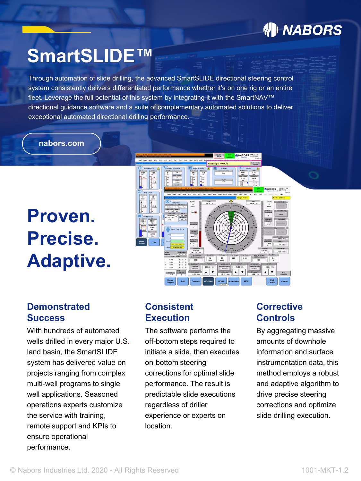### **州 NABORS**

# **SmartSLIDE™**

Through automation of slide drilling, the advanced SmartSLIDE directional steering control system consistently delivers differentiated performance whether it's on one rig or an entire fleet. Leverage the full potential of this system by integrating it with the SmartNAV™ directional guidance software and a suite of complementary automated solutions to deliver exceptional automated directional drilling performance.

**nabors.com nabors.com**

# **Proven. Precise. Adaptive.**



#### **Demonstrated Success**

With hundreds of automated wells drilled in every major U.S. land basin, the SmartSLIDE system has delivered value on projects ranging from complex multi-well programs to single well applications. Seasoned operations experts customize the service with training, remote support and KPIs to ensure operational performance.

#### **Consistent Execution**

The software performs the off-bottom steps required to initiate a slide, then executes on-bottom steering corrections for optimal slide performance. The result is predictable slide executions regardless of driller experience or experts on location.

#### **Corrective Controls**

By aggregating massive amounts of downhole information and surface instrumentation data, this method employs a robust and adaptive algorithm to drive precise steering corrections and optimize slide drilling execution.